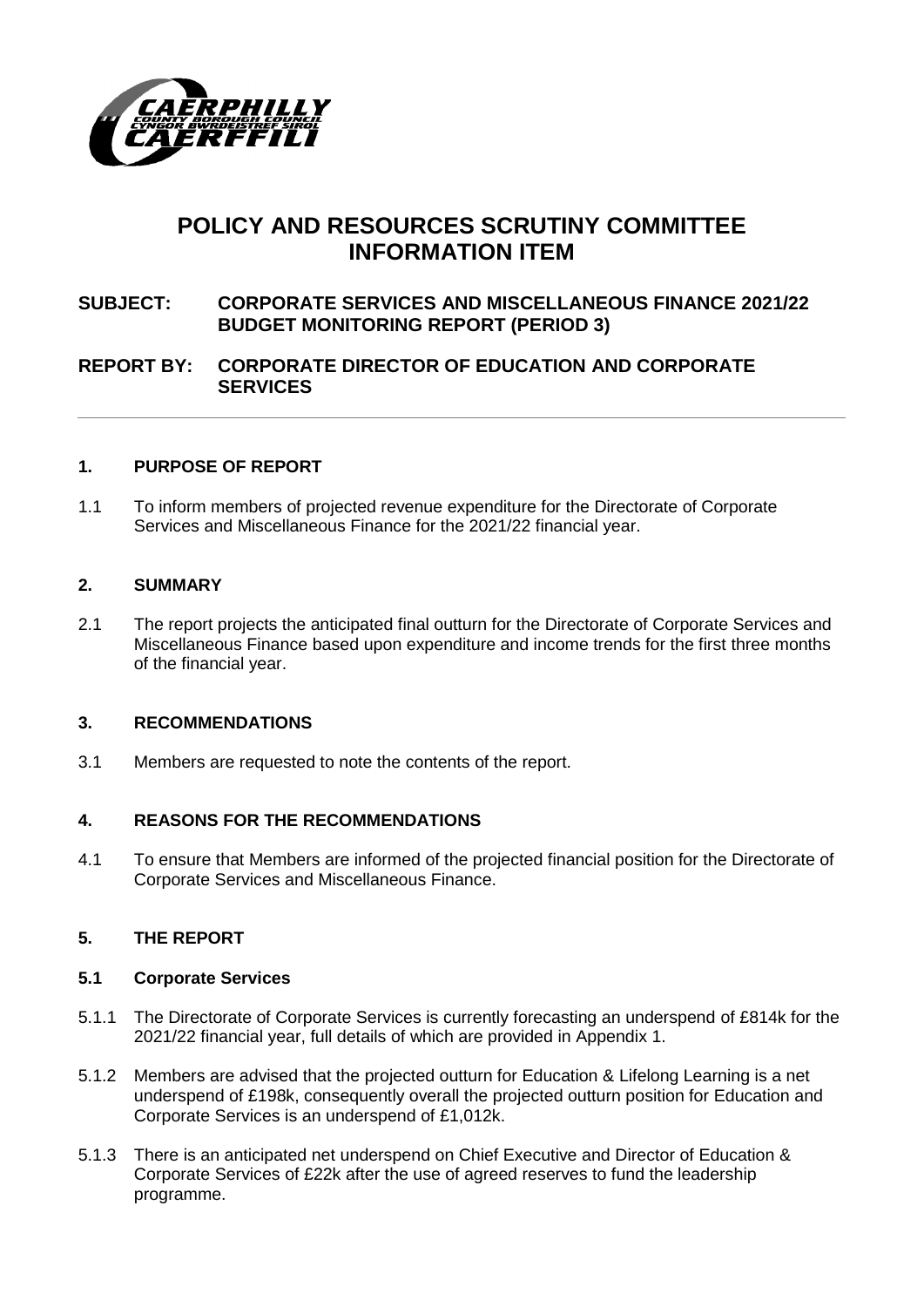

# **POLICY AND RESOURCES SCRUTINY COMMITTEE INFORMATION ITEM**

# **SUBJECT: CORPORATE SERVICES AND MISCELLANEOUS FINANCE 2021/22 BUDGET MONITORING REPORT (PERIOD 3)**

# **REPORT BY: CORPORATE DIRECTOR OF EDUCATION AND CORPORATE SERVICES**

#### **1. PURPOSE OF REPORT**

1.1 To inform members of projected revenue expenditure for the Directorate of Corporate Services and Miscellaneous Finance for the 2021/22 financial year.

#### **2. SUMMARY**

2.1 The report projects the anticipated final outturn for the Directorate of Corporate Services and Miscellaneous Finance based upon expenditure and income trends for the first three months of the financial year.

#### **3. RECOMMENDATIONS**

3.1 Members are requested to note the contents of the report.

#### **4. REASONS FOR THE RECOMMENDATIONS**

4.1 To ensure that Members are informed of the projected financial position for the Directorate of Corporate Services and Miscellaneous Finance.

#### **5. THE REPORT**

#### **5.1 Corporate Services**

- 5.1.1 The Directorate of Corporate Services is currently forecasting an underspend of £814k for the 2021/22 financial year, full details of which are provided in Appendix 1.
- 5.1.2 Members are advised that the projected outturn for Education & Lifelong Learning is a net underspend of £198k, consequently overall the projected outturn position for Education and Corporate Services is an underspend of £1,012k.
- 5.1.3 There is an anticipated net underspend on Chief Executive and Director of Education & Corporate Services of £22k after the use of agreed reserves to fund the leadership programme.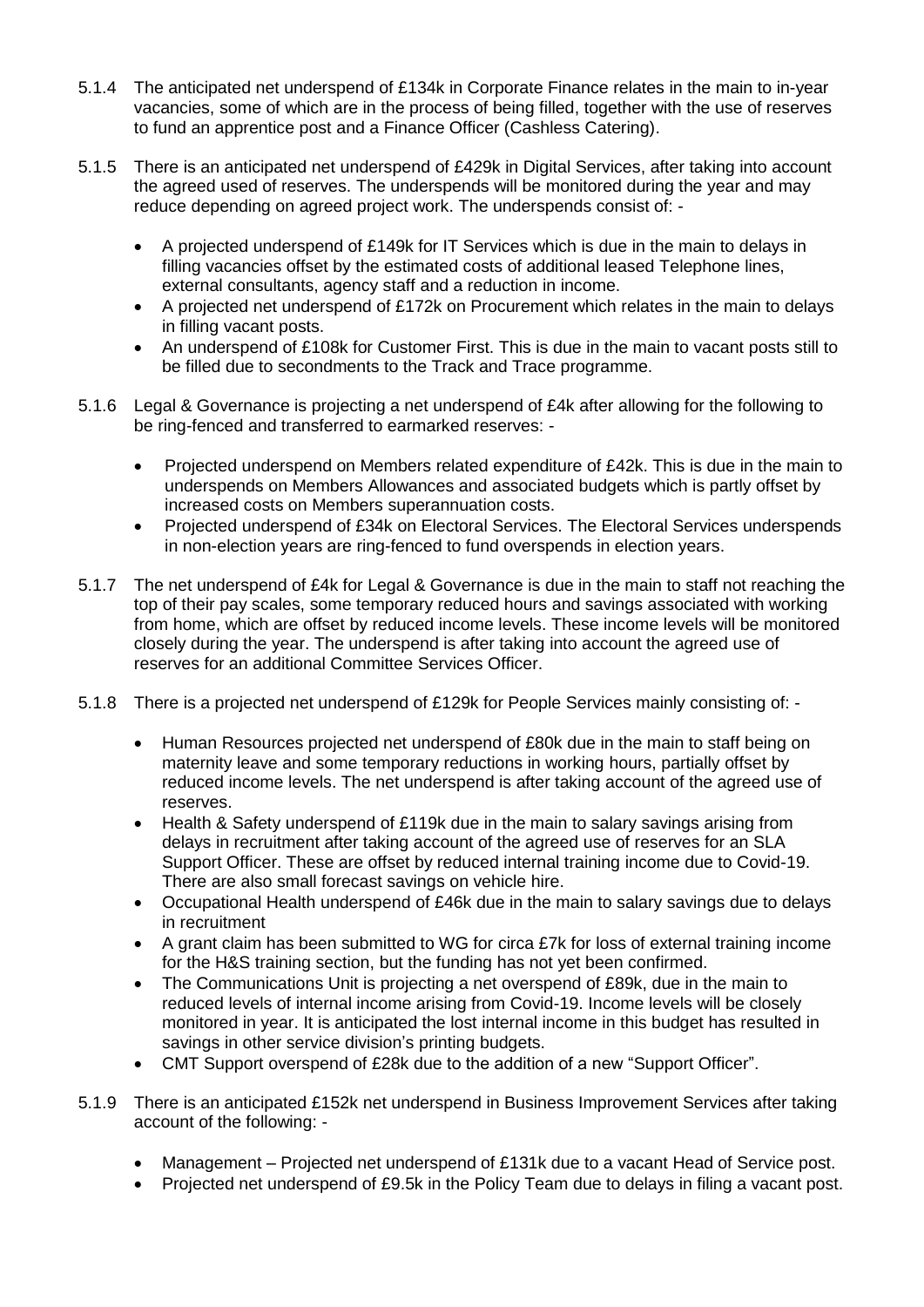- 5.1.4 The anticipated net underspend of £134k in Corporate Finance relates in the main to in-year vacancies, some of which are in the process of being filled, together with the use of reserves to fund an apprentice post and a Finance Officer (Cashless Catering).
- 5.1.5 There is an anticipated net underspend of £429k in Digital Services, after taking into account the agreed used of reserves. The underspends will be monitored during the year and may reduce depending on agreed project work. The underspends consist of: -
	- A projected underspend of £149k for IT Services which is due in the main to delays in filling vacancies offset by the estimated costs of additional leased Telephone lines, external consultants, agency staff and a reduction in income.
	- A projected net underspend of £172k on Procurement which relates in the main to delays in filling vacant posts.
	- An underspend of £108k for Customer First. This is due in the main to vacant posts still to be filled due to secondments to the Track and Trace programme.
- 5.1.6 Legal & Governance is projecting a net underspend of £4k after allowing for the following to be ring-fenced and transferred to earmarked reserves: -
	- Projected underspend on Members related expenditure of £42k. This is due in the main to underspends on Members Allowances and associated budgets which is partly offset by increased costs on Members superannuation costs.
	- Projected underspend of £34k on Electoral Services. The Electoral Services underspends in non-election years are ring-fenced to fund overspends in election years.
- 5.1.7 The net underspend of £4k for Legal & Governance is due in the main to staff not reaching the top of their pay scales, some temporary reduced hours and savings associated with working from home, which are offset by reduced income levels. These income levels will be monitored closely during the year. The underspend is after taking into account the agreed use of reserves for an additional Committee Services Officer.
- 5.1.8 There is a projected net underspend of £129k for People Services mainly consisting of:
	- Human Resources projected net underspend of £80k due in the main to staff being on maternity leave and some temporary reductions in working hours, partially offset by reduced income levels. The net underspend is after taking account of the agreed use of reserves.
	- Health & Safety underspend of £119k due in the main to salary savings arising from delays in recruitment after taking account of the agreed use of reserves for an SLA Support Officer. These are offset by reduced internal training income due to Covid-19. There are also small forecast savings on vehicle hire.
	- Occupational Health underspend of £46k due in the main to salary savings due to delays in recruitment
	- A grant claim has been submitted to WG for circa £7k for loss of external training income for the H&S training section, but the funding has not yet been confirmed.
	- The Communications Unit is projecting a net overspend of £89k, due in the main to reduced levels of internal income arising from Covid-19. Income levels will be closely monitored in year. It is anticipated the lost internal income in this budget has resulted in savings in other service division's printing budgets.
	- CMT Support overspend of £28k due to the addition of a new "Support Officer".
- 5.1.9 There is an anticipated £152k net underspend in Business Improvement Services after taking account of the following: -
	- Management Projected net underspend of £131k due to a vacant Head of Service post.
	- Projected net underspend of £9.5k in the Policy Team due to delays in filing a vacant post.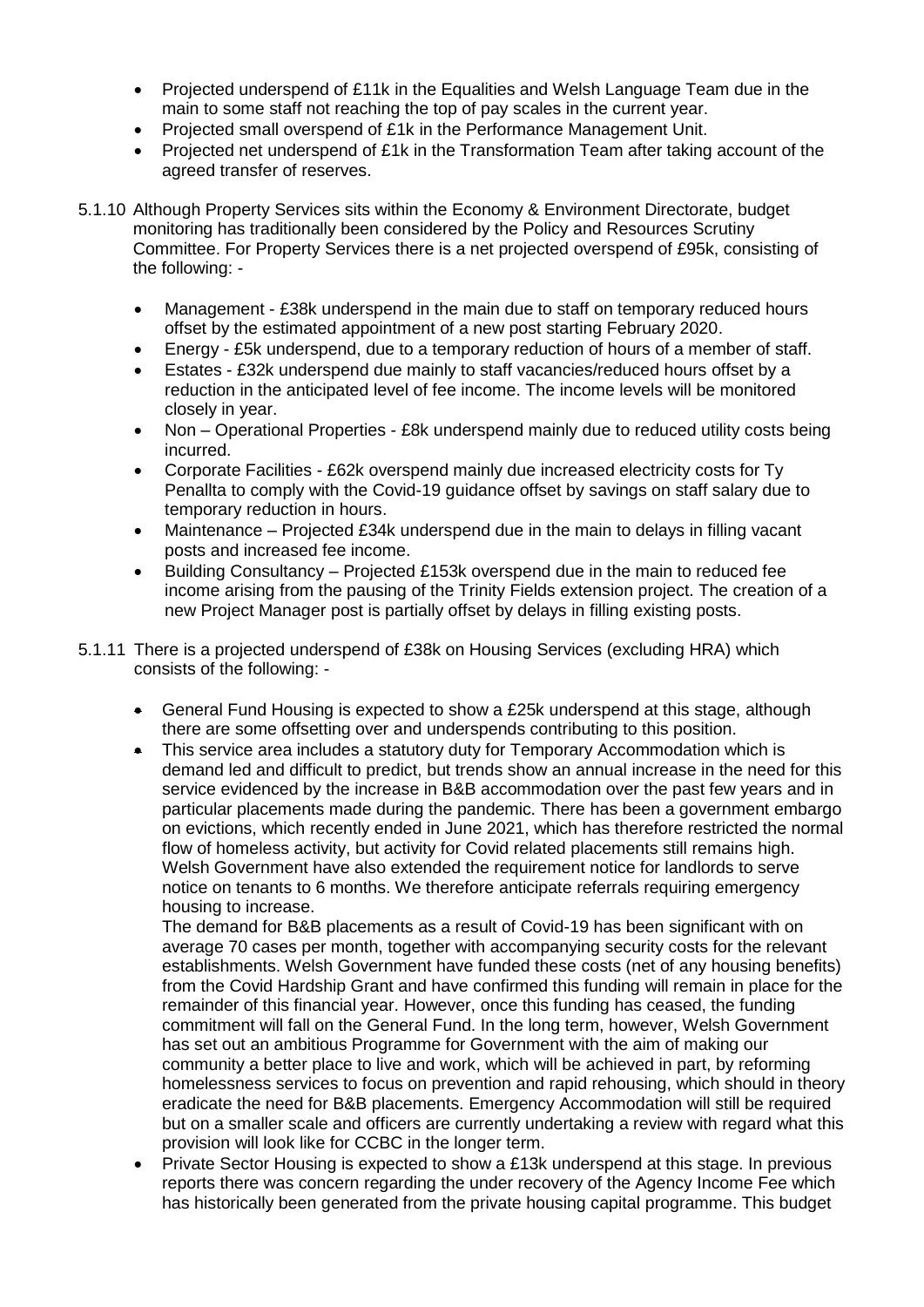- Projected underspend of £11k in the Equalities and Welsh Language Team due in the main to some staff not reaching the top of pay scales in the current year.
- Projected small overspend of £1k in the Performance Management Unit.
- Projected net underspend of £1k in the Transformation Team after taking account of the agreed transfer of reserves.
- 5.1.10 Although Property Services sits within the Economy & Environment Directorate, budget monitoring has traditionally been considered by the Policy and Resources Scrutiny Committee. For Property Services there is a net projected overspend of £95k, consisting of the following: -
	- Management £38k underspend in the main due to staff on temporary reduced hours offset by the estimated appointment of a new post starting February 2020.
	- Energy £5k underspend, due to a temporary reduction of hours of a member of staff.
	- Estates £32k underspend due mainly to staff vacancies/reduced hours offset by a reduction in the anticipated level of fee income. The income levels will be monitored closely in year.
	- Non Operational Properties £8k underspend mainly due to reduced utility costs being incurred.
	- Corporate Facilities £62k overspend mainly due increased electricity costs for Ty Penallta to comply with the Covid-19 guidance offset by savings on staff salary due to temporary reduction in hours.
	- Maintenance Projected £34k underspend due in the main to delays in filling vacant posts and increased fee income.
	- Building Consultancy Projected £153k overspend due in the main to reduced fee income arising from the pausing of the Trinity Fields extension project. The creation of a new Project Manager post is partially offset by delays in filling existing posts.
- 5.1.11 There is a projected underspend of £38k on Housing Services (excluding HRA) which consists of the following: -
	- General Fund Housing is expected to show a £25k underspend at this stage, although there are some offsetting over and underspends contributing to this position.
	- This service area includes a statutory duty for Temporary Accommodation which is demand led and difficult to predict, but trends show an annual increase in the need for this service evidenced by the increase in B&B accommodation over the past few years and in particular placements made during the pandemic. There has been a government embargo on evictions, which recently ended in June 2021, which has therefore restricted the normal flow of homeless activity, but activity for Covid related placements still remains high. Welsh Government have also extended the requirement notice for landlords to serve notice on tenants to 6 months. We therefore anticipate referrals requiring emergency housing to increase.

The demand for B&B placements as a result of Covid-19 has been significant with on average 70 cases per month, together with accompanying security costs for the relevant establishments. Welsh Government have funded these costs (net of any housing benefits) from the Covid Hardship Grant and have confirmed this funding will remain in place for the remainder of this financial year. However, once this funding has ceased, the funding commitment will fall on the General Fund. In the long term, however, Welsh Government has set out an ambitious Programme for Government with the aim of making our community a better place to live and work, which will be achieved in part, by reforming homelessness services to focus on prevention and rapid rehousing, which should in theory eradicate the need for B&B placements. Emergency Accommodation will still be required but on a smaller scale and officers are currently undertaking a review with regard what this provision will look like for CCBC in the longer term.

 Private Sector Housing is expected to show a £13k underspend at this stage. In previous reports there was concern regarding the under recovery of the Agency Income Fee which has historically been generated from the private housing capital programme. This budget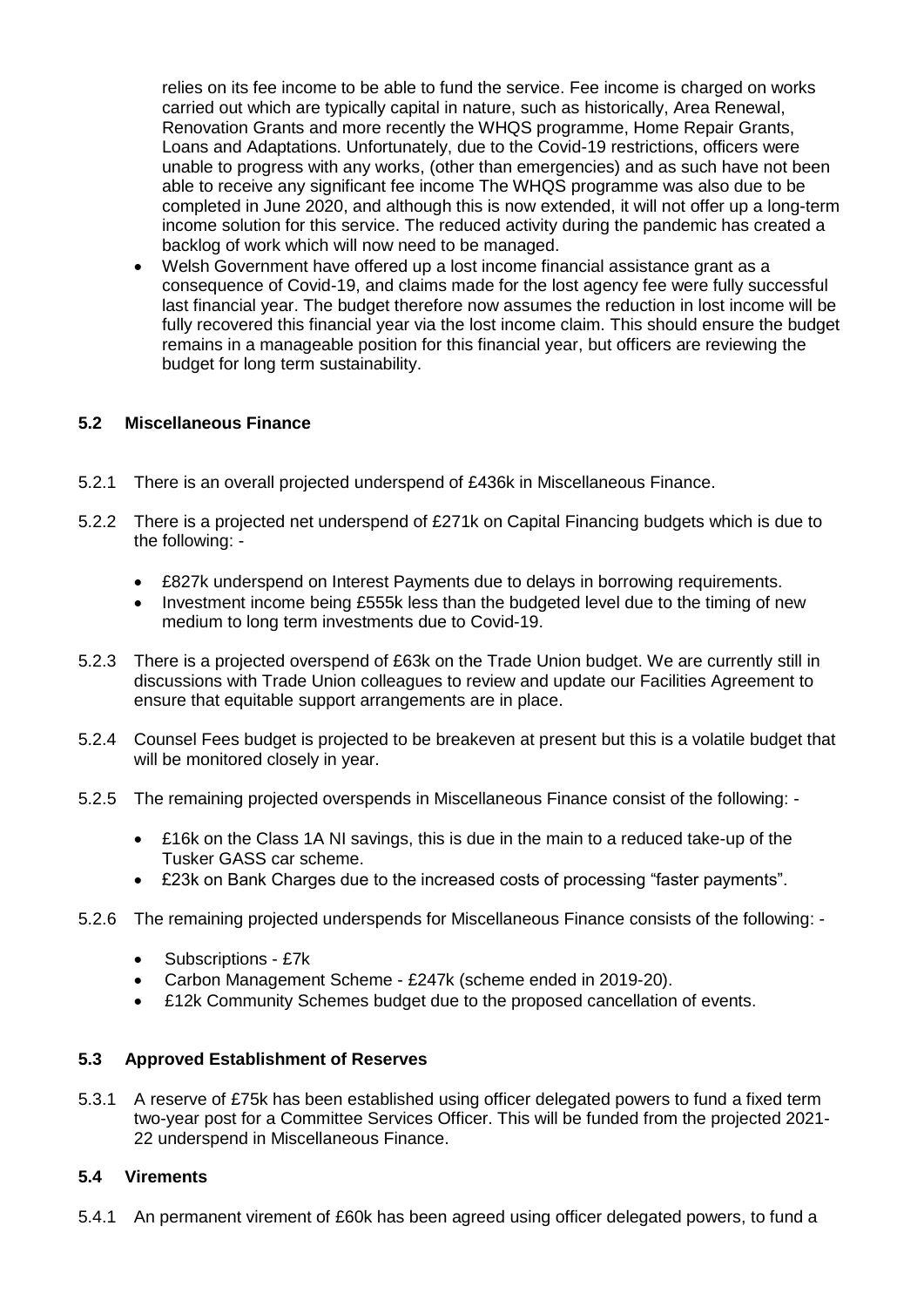relies on its fee income to be able to fund the service. Fee income is charged on works carried out which are typically capital in nature, such as historically, Area Renewal, Renovation Grants and more recently the WHQS programme, Home Repair Grants, Loans and Adaptations. Unfortunately, due to the Covid-19 restrictions, officers were unable to progress with any works, (other than emergencies) and as such have not been able to receive any significant fee income The WHQS programme was also due to be completed in June 2020, and although this is now extended, it will not offer up a long-term income solution for this service. The reduced activity during the pandemic has created a backlog of work which will now need to be managed.

 Welsh Government have offered up a lost income financial assistance grant as a consequence of Covid-19, and claims made for the lost agency fee were fully successful last financial year. The budget therefore now assumes the reduction in lost income will be fully recovered this financial year via the lost income claim. This should ensure the budget remains in a manageable position for this financial year, but officers are reviewing the budget for long term sustainability.

# **5.2 Miscellaneous Finance**

- 5.2.1 There is an overall projected underspend of £436k in Miscellaneous Finance.
- 5.2.2 There is a projected net underspend of £271k on Capital Financing budgets which is due to the following: -
	- £827k underspend on Interest Payments due to delays in borrowing requirements.
	- Investment income being £555k less than the budgeted level due to the timing of new medium to long term investments due to Covid-19.
- 5.2.3 There is a projected overspend of £63k on the Trade Union budget. We are currently still in discussions with Trade Union colleagues to review and update our Facilities Agreement to ensure that equitable support arrangements are in place.
- 5.2.4 Counsel Fees budget is projected to be breakeven at present but this is a volatile budget that will be monitored closely in year.
- 5.2.5 The remaining projected overspends in Miscellaneous Finance consist of the following:
	- £16k on the Class 1A NI savings, this is due in the main to a reduced take-up of the Tusker GASS car scheme.
	- £23k on Bank Charges due to the increased costs of processing "faster payments".
- 5.2.6 The remaining projected underspends for Miscellaneous Finance consists of the following:
	- Subscriptions £7k
	- Carbon Management Scheme £247k (scheme ended in 2019-20).
	- £12k Community Schemes budget due to the proposed cancellation of events.

#### **5.3 Approved Establishment of Reserves**

5.3.1 A reserve of £75k has been established using officer delegated powers to fund a fixed term two-year post for a Committee Services Officer. This will be funded from the projected 2021- 22 underspend in Miscellaneous Finance.

#### **5.4 Virements**

5.4.1 An permanent virement of £60k has been agreed using officer delegated powers, to fund a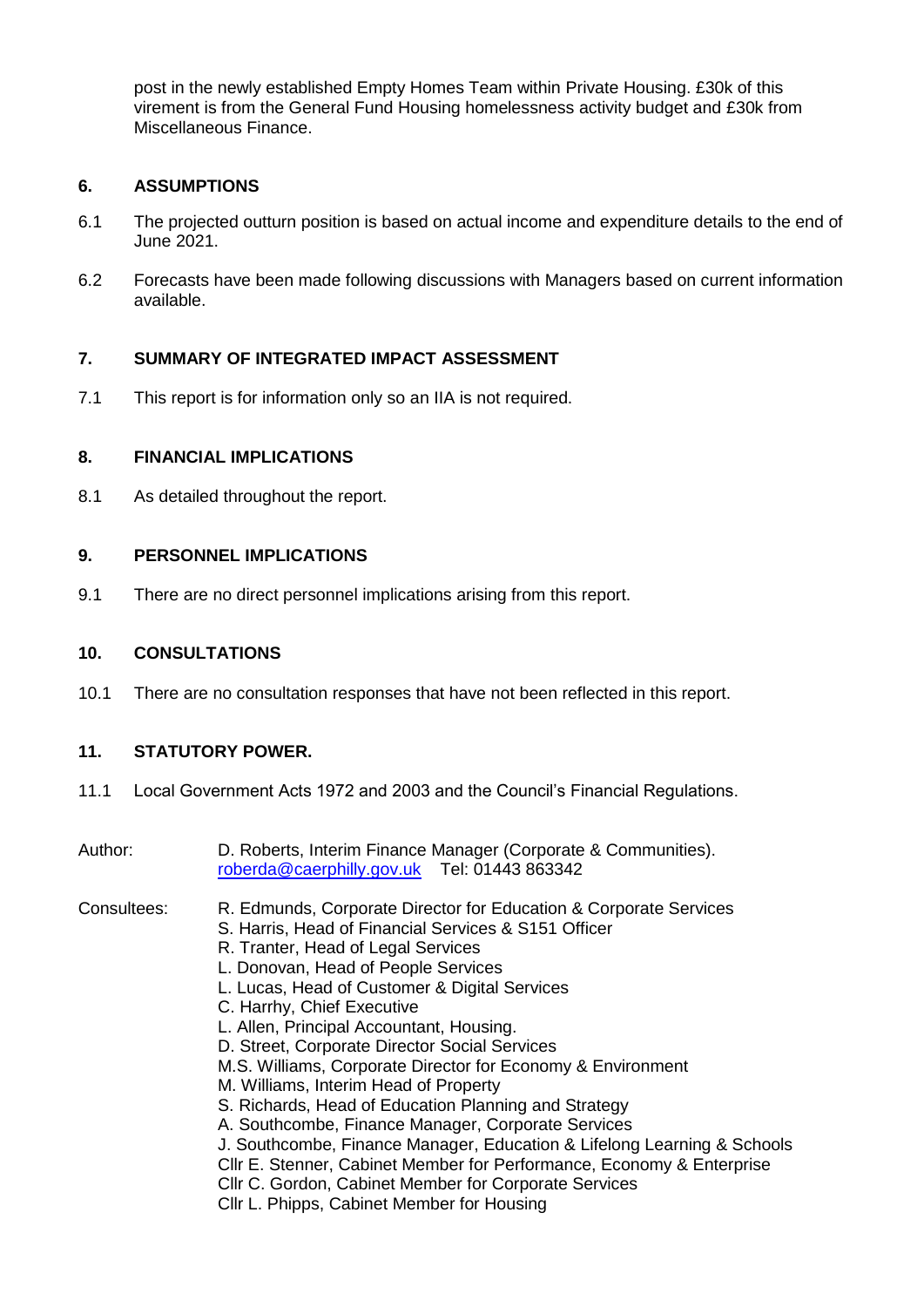post in the newly established Empty Homes Team within Private Housing. £30k of this virement is from the General Fund Housing homelessness activity budget and £30k from Miscellaneous Finance.

# **6. ASSUMPTIONS**

- 6.1 The projected outturn position is based on actual income and expenditure details to the end of June 2021.
- 6.2 Forecasts have been made following discussions with Managers based on current information available.

# **7. SUMMARY OF INTEGRATED IMPACT ASSESSMENT**

7.1 This report is for information only so an IIA is not required.

#### **8. FINANCIAL IMPLICATIONS**

8.1 As detailed throughout the report.

#### **9. PERSONNEL IMPLICATIONS**

9.1 There are no direct personnel implications arising from this report.

#### **10. CONSULTATIONS**

10.1 There are no consultation responses that have not been reflected in this report.

#### **11. STATUTORY POWER.**

- 11.1 Local Government Acts 1972 and 2003 and the Council's Financial Regulations.
- Author: D. Roberts, Interim Finance Manager (Corporate & Communities). [roberda@caerphilly.gov.uk](mailto:roberda@caerphilly.gov.uk) Tel: 01443 863342
- Consultees: R. Edmunds, Corporate Director for Education & Corporate Services
	- S. Harris, Head of Financial Services & S151 Officer
	- R. Tranter, Head of Legal Services
	- L. Donovan, Head of People Services
	- L. Lucas, Head of Customer & Digital Services
	- C. Harrhy, Chief Executive
	- L. Allen, Principal Accountant, Housing.
	- D. Street, Corporate Director Social Services
	- M.S. Williams, Corporate Director for Economy & Environment
	- M. Williams, Interim Head of Property
	- S. Richards, Head of Education Planning and Strategy
	- A. Southcombe, Finance Manager, Corporate Services
	- J. Southcombe, Finance Manager, Education & Lifelong Learning & Schools
	- Cllr E. Stenner, Cabinet Member for Performance, Economy & Enterprise
	- Cllr C. Gordon, Cabinet Member for Corporate Services
	- Cllr L. Phipps, Cabinet Member for Housing